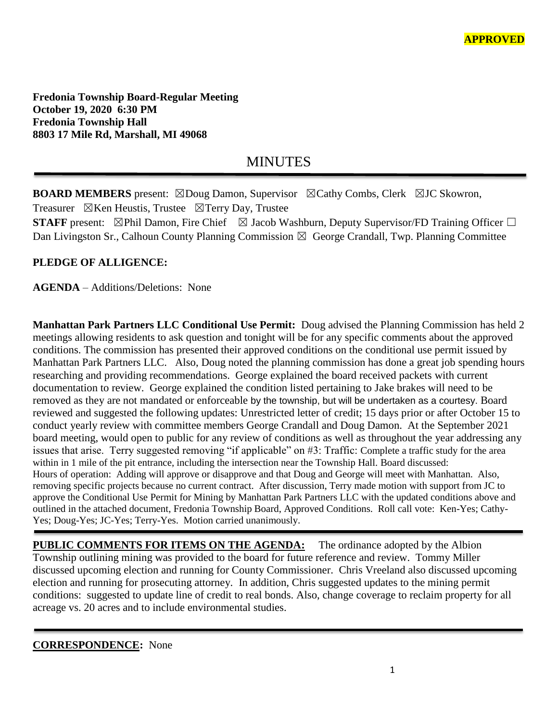**Fredonia Township Board-Regular Meeting October 19, 2020 6:30 PM Fredonia Township Hall 8803 17 Mile Rd, Marshall, MI 49068**

# MINUTES

**BOARD MEMBERS** present: ⊠Doug Damon, Supervisor ⊠Cathy Combs, Clerk ⊠JC Skowron, Treasurer  $\boxtimes$ Ken Heustis, Trustee  $\boxtimes$ Terry Day, Trustee **STAFF** present:  $\boxtimes$ Phil Damon, Fire Chief  $\boxtimes$  Jacob Washburn, Deputy Supervisor/FD Training Officer  $\Box$ 

Dan Livingston Sr., Calhoun County Planning Commission  $\boxtimes$  George Crandall, Twp. Planning Committee

## **PLEDGE OF ALLIGENCE:**

**AGENDA** – Additions/Deletions: None

**Manhattan Park Partners LLC Conditional Use Permit:** Doug advised the Planning Commission has held 2 meetings allowing residents to ask question and tonight will be for any specific comments about the approved conditions. The commission has presented their approved conditions on the conditional use permit issued by Manhattan Park Partners LLC. Also, Doug noted the planning commission has done a great job spending hours researching and providing recommendations. George explained the board received packets with current documentation to review. George explained the condition listed pertaining to Jake brakes will need to be removed as they are not mandated or enforceable by the township, but will be undertaken as a courtesy. Board reviewed and suggested the following updates: Unrestricted letter of credit; 15 days prior or after October 15 to conduct yearly review with committee members George Crandall and Doug Damon. At the September 2021 board meeting, would open to public for any review of conditions as well as throughout the year addressing any issues that arise. Terry suggested removing "if applicable" on #3: Traffic: Complete a traffic study for the area within in 1 mile of the pit entrance, including the intersection near the Township Hall. Board discussed: Hours of operation: Adding will approve or disapprove and that Doug and George will meet with Manhattan. Also, removing specific projects because no current contract. After discussion, Terry made motion with support from JC to approve the Conditional Use Permit for Mining by Manhattan Park Partners LLC with the updated conditions above and outlined in the attached document, Fredonia Township Board, Approved Conditions. Roll call vote: Ken-Yes; Cathy-Yes; Doug-Yes; JC-Yes; Terry-Yes. Motion carried unanimously.

**PUBLIC COMMENTS FOR ITEMS ON THE AGENDA:** The ordinance adopted by the Albion Township outlining mining was provided to the board for future reference and review. Tommy Miller discussed upcoming election and running for County Commissioner. Chris Vreeland also discussed upcoming election and running for prosecuting attorney. In addition, Chris suggested updates to the mining permit conditions: suggested to update line of credit to real bonds. Also, change coverage to reclaim property for all acreage vs. 20 acres and to include environmental studies.

**CORRESPONDENCE:** None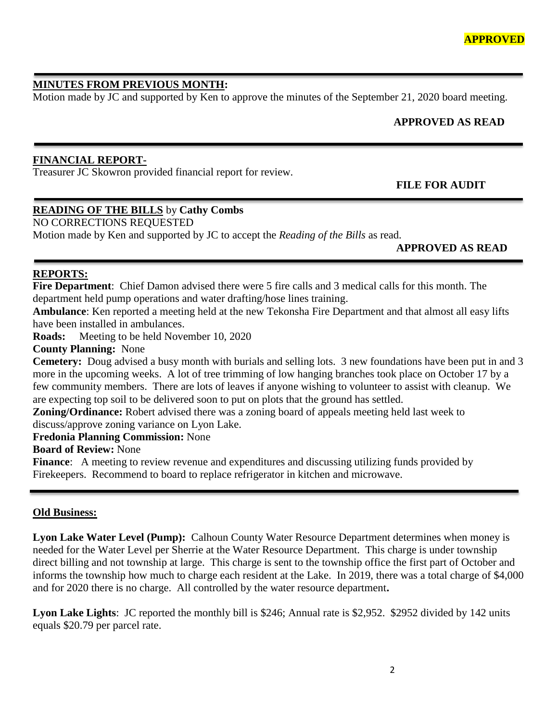## **MINUTES FROM PREVIOUS MONTH:**

Motion made by JC and supported by Ken to approve the minutes of the September 21, 2020 board meeting.

## **APPROVED AS READ**

#### **FINANCIAL REPORT-**

Treasurer JC Skowron provided financial report for review.

 **FILE FOR AUDIT** 

# **READING OF THE BILLS** by **Cathy Combs**

NO CORRECTIONS REQUESTED

Motion made by Ken and supported by JC to accept the *Reading of the Bills* as read.

**APPROVED AS READ**

#### **REPORTS:**

**Fire Department**: Chief Damon advised there were 5 fire calls and 3 medical calls for this month. The department held pump operations and water drafting/hose lines training.

**Ambulance**: Ken reported a meeting held at the new Tekonsha Fire Department and that almost all easy lifts have been installed in ambulances.

**Roads:** Meeting to be held November 10, 2020

**County Planning:** None

**Cemetery:** Doug advised a busy month with burials and selling lots. 3 new foundations have been put in and 3 more in the upcoming weeks. A lot of tree trimming of low hanging branches took place on October 17 by a few community members. There are lots of leaves if anyone wishing to volunteer to assist with cleanup. We are expecting top soil to be delivered soon to put on plots that the ground has settled.

**Zoning/Ordinance:** Robert advised there was a zoning board of appeals meeting held last week to discuss/approve zoning variance on Lyon Lake.

**Fredonia Planning Commission:** None

**Board of Review:** None

**Finance:** A meeting to review revenue and expenditures and discussing utilizing funds provided by Firekeepers. Recommend to board to replace refrigerator in kitchen and microwave.

#### **Old Business:**

**Lyon Lake Water Level (Pump):** Calhoun County Water Resource Department determines when money is needed for the Water Level per Sherrie at the Water Resource Department. This charge is under township direct billing and not township at large. This charge is sent to the township office the first part of October and informs the township how much to charge each resident at the Lake. In 2019, there was a total charge of \$4,000 and for 2020 there is no charge. All controlled by the water resource department**.** 

**Lyon Lake Lights**: JC reported the monthly bill is \$246; Annual rate is \$2,952. \$2952 divided by 142 units equals \$20.79 per parcel rate.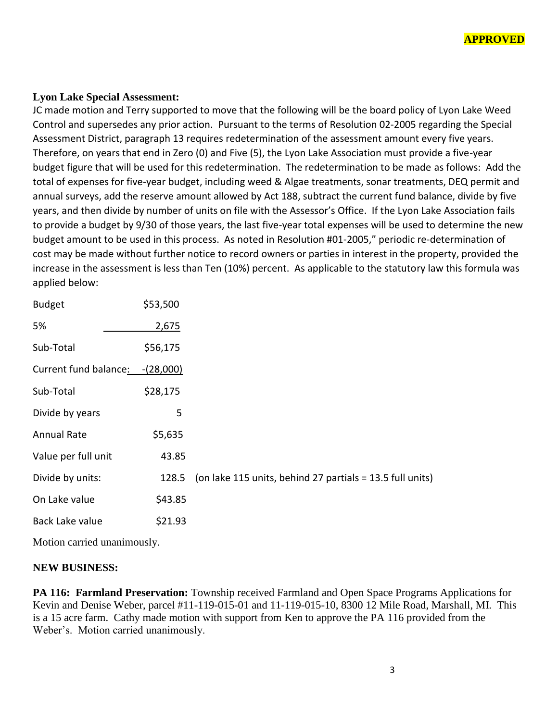

#### **Lyon Lake Special Assessment:**

JC made motion and Terry supported to move that the following will be the board policy of Lyon Lake Weed Control and supersedes any prior action. Pursuant to the terms of Resolution 02-2005 regarding the Special Assessment District, paragraph 13 requires redetermination of the assessment amount every five years. Therefore, on years that end in Zero (0) and Five (5), the Lyon Lake Association must provide a five-year budget figure that will be used for this redetermination. The redetermination to be made as follows: Add the total of expenses for five-year budget, including weed & Algae treatments, sonar treatments, DEQ permit and annual surveys, add the reserve amount allowed by Act 188, subtract the current fund balance, divide by five years, and then divide by number of units on file with the Assessor's Office. If the Lyon Lake Association fails to provide a budget by 9/30 of those years, the last five-year total expenses will be used to determine the new budget amount to be used in this process. As noted in Resolution #01-2005," periodic re-determination of cost may be made without further notice to record owners or parties in interest in the property, provided the increase in the assessment is less than Ten (10%) percent. As applicable to the statutory law this formula was applied below:

| <b>Budget</b>                    | \$53,500 |                                                           |
|----------------------------------|----------|-----------------------------------------------------------|
| 5%                               | 2,675    |                                                           |
| Sub-Total                        | \$56,175 |                                                           |
| Current fund balance: - (28,000) |          |                                                           |
| Sub-Total                        | \$28,175 |                                                           |
| Divide by years                  | 5        |                                                           |
| Annual Rate                      | \$5,635  |                                                           |
| Value per full unit              | 43.85    |                                                           |
| Divide by units:                 | 128.5    | (on lake 115 units, behind 27 partials = 13.5 full units) |
| On Lake value                    | \$43.85  |                                                           |
| Back Lake value                  | \$21.93  |                                                           |
|                                  |          |                                                           |

Motion carried unanimously.

#### **NEW BUSINESS:**

**PA 116: Farmland Preservation:** Township received Farmland and Open Space Programs Applications for Kevin and Denise Weber, parcel #11-119-015-01 and 11-119-015-10, 8300 12 Mile Road, Marshall, MI. This is a 15 acre farm. Cathy made motion with support from Ken to approve the PA 116 provided from the Weber's. Motion carried unanimously.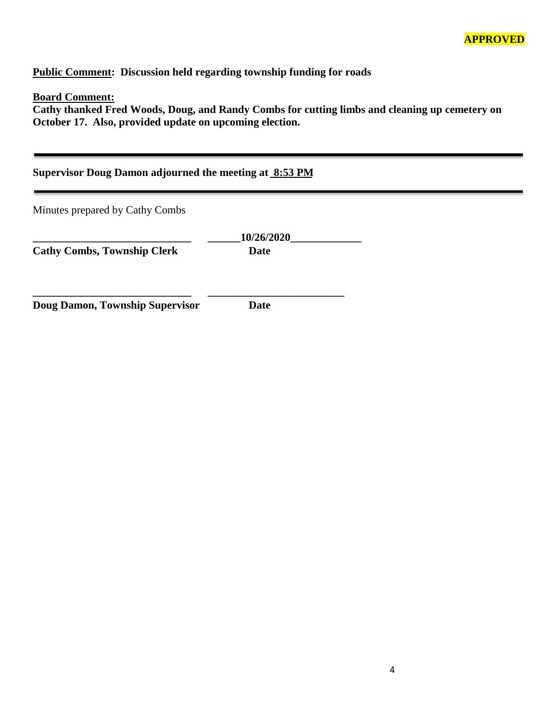**Public Comment: Discussion held regarding township funding for roads**

#### **Board Comment:**

**Cathy thanked Fred Woods, Doug, and Randy Combs for cutting limbs and cleaning up cemetery on October 17. Also, provided update on upcoming election.** 

| Supervisor Doug Damon adjourned the meeting at 8:53 PM |                    |  |  |  |  |
|--------------------------------------------------------|--------------------|--|--|--|--|
| Minutes prepared by Cathy Combs                        |                    |  |  |  |  |
| <b>Cathy Combs, Township Clerk</b>                     | 10/26/2020<br>Date |  |  |  |  |
| Doug Damon, Township Supervisor                        | <b>Date</b>        |  |  |  |  |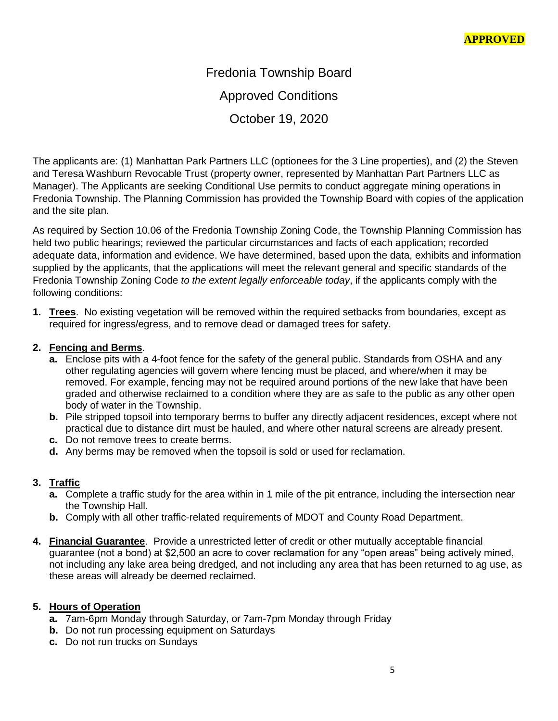Fredonia Township Board Approved Conditions October 19, 2020

The applicants are: (1) Manhattan Park Partners LLC (optionees for the 3 Line properties), and (2) the Steven and Teresa Washburn Revocable Trust (property owner, represented by Manhattan Part Partners LLC as Manager). The Applicants are seeking Conditional Use permits to conduct aggregate mining operations in Fredonia Township. The Planning Commission has provided the Township Board with copies of the application and the site plan.

As required by Section 10.06 of the Fredonia Township Zoning Code, the Township Planning Commission has held two public hearings; reviewed the particular circumstances and facts of each application; recorded adequate data, information and evidence. We have determined, based upon the data, exhibits and information supplied by the applicants, that the applications will meet the relevant general and specific standards of the Fredonia Township Zoning Code *to the extent legally enforceable today*, if the applicants comply with the following conditions:

**1. Trees**. No existing vegetation will be removed within the required setbacks from boundaries, except as required for ingress/egress, and to remove dead or damaged trees for safety.

## **2. Fencing and Berms**.

- **a.** Enclose pits with a 4-foot fence for the safety of the general public. Standards from OSHA and any other regulating agencies will govern where fencing must be placed, and where/when it may be removed. For example, fencing may not be required around portions of the new lake that have been graded and otherwise reclaimed to a condition where they are as safe to the public as any other open body of water in the Township.
- **b.** Pile stripped topsoil into temporary berms to buffer any directly adjacent residences, except where not practical due to distance dirt must be hauled, and where other natural screens are already present.
- **c.** Do not remove trees to create berms.
- **d.** Any berms may be removed when the topsoil is sold or used for reclamation.

# **3. Traffic**

- **a.** Complete a traffic study for the area within in 1 mile of the pit entrance, including the intersection near the Township Hall.
- **b.** Comply with all other traffic-related requirements of MDOT and County Road Department.
- **4. Financial Guarantee**. Provide a unrestricted letter of credit or other mutually acceptable financial guarantee (not a bond) at \$2,500 an acre to cover reclamation for any "open areas" being actively mined, not including any lake area being dredged, and not including any area that has been returned to ag use, as these areas will already be deemed reclaimed.

## **5. Hours of Operation**

- **a.** 7am-6pm Monday through Saturday, or 7am-7pm Monday through Friday
- **b.** Do not run processing equipment on Saturdays
- **c.** Do not run trucks on Sundays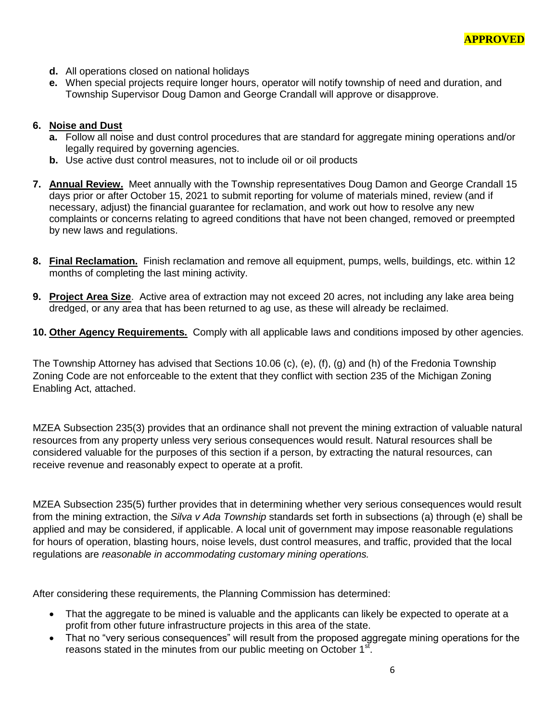- **d.** All operations closed on national holidays
- **e.** When special projects require longer hours, operator will notify township of need and duration, and Township Supervisor Doug Damon and George Crandall will approve or disapprove.

#### **6. Noise and Dust**

- **a.** Follow all noise and dust control procedures that are standard for aggregate mining operations and/or legally required by governing agencies.
- **b.** Use active dust control measures, not to include oil or oil products
- **7. Annual Review.** Meet annually with the Township representatives Doug Damon and George Crandall 15 days prior or after October 15, 2021 to submit reporting for volume of materials mined, review (and if necessary, adjust) the financial guarantee for reclamation, and work out how to resolve any new complaints or concerns relating to agreed conditions that have not been changed, removed or preempted by new laws and regulations.
- **8. Final Reclamation.** Finish reclamation and remove all equipment, pumps, wells, buildings, etc. within 12 months of completing the last mining activity.
- **9. Project Area Size**. Active area of extraction may not exceed 20 acres, not including any lake area being dredged, or any area that has been returned to ag use, as these will already be reclaimed.
- **10. Other Agency Requirements.** Comply with all applicable laws and conditions imposed by other agencies.

The Township Attorney has advised that Sections 10.06 (c), (e), (f), (g) and (h) of the Fredonia Township Zoning Code are not enforceable to the extent that they conflict with section 235 of the Michigan Zoning Enabling Act, attached.

MZEA Subsection 235(3) provides that an ordinance shall not prevent the mining extraction of valuable natural resources from any property unless very serious consequences would result. Natural resources shall be considered valuable for the purposes of this section if a person, by extracting the natural resources, can receive revenue and reasonably expect to operate at a profit.

MZEA Subsection 235(5) further provides that in determining whether very serious consequences would result from the mining extraction, the *Silva v Ada Township* standards set forth in subsections (a) through (e) shall be applied and may be considered, if applicable. A local unit of government may impose reasonable regulations for hours of operation, blasting hours, noise levels, dust control measures, and traffic, provided that the local regulations are *reasonable in accommodating customary mining operations.* 

After considering these requirements, the Planning Commission has determined:

- That the aggregate to be mined is valuable and the applicants can likely be expected to operate at a profit from other future infrastructure projects in this area of the state.
- That no "very serious consequences" will result from the proposed aggregate mining operations for the reasons stated in the minutes from our public meeting on October 1st